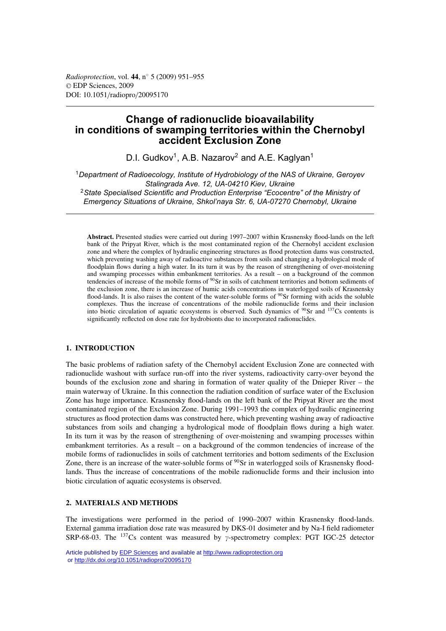# **Change of radionuclide bioavailability in conditions of swamping territories within the Chernobyl accident Exclusion Zone**

D.I. Gudkov<sup>1</sup>, A.B. Nazarov<sup>2</sup> and A.E. Kaglyan<sup>1</sup>

<sup>1</sup>*Department of Radioecology, Institute of Hydrobiology of the NAS of Ukraine, Geroyev Stalingrada Ave. 12, UA-04210 Kiev, Ukraine* <sup>2</sup>*State Specialised Scientific and Production Enterprise "Ecocentre" of the Ministry of Emergency Situations of Ukraine, Shkol'naya Str. 6, UA-07270 Chernobyl, Ukraine*

**Abstract.** Presented studies were carried out during 1997–2007 within Krasnensky flood-lands on the left bank of the Pripyat River, which is the most contaminated region of the Chernobyl accident exclusion zone and where the complex of hydraulic engineering structures as flood protection dams was constructed, which preventing washing away of radioactive substances from soils and changing a hydrological mode of floodplain flows during a high water. In its turn it was by the reason of strengthening of over-moistening and swamping processes within embankment territories. As a result – on a background of the common tendencies of increase of the mobile forms of <sup>90</sup>Sr in soils of catchment territories and bottom sediments of the exclusion zone, there is an increase of humic acids concentrations in waterlogged soils of Krasnensky flood-lands. It is also raises the content of the water-soluble forms of  $90$ Sr forming with acids the soluble complexes. Thus the increase of concentrations of the mobile radionuclide forms and their inclusion into biotic circulation of aquatic ecosystems is observed. Such dynamics of  $\frac{90}{Sr}$  and  $\frac{137}{Cs}$  contents is significantly reflected on dose rate for hydrobionts due to incorporated radionuclides.

# **1. INTRODUCTION**

The basic problems of radiation safety of the Chernobyl accident Exclusion Zone are connected with radionuclide washout with surface run-off into the river systems, radioactivity carry-over beyond the bounds of the exclusion zone and sharing in formation of water quality of the Dnieper River – the main waterway of Ukraine. In this connection the radiation condition of surface water of the Exclusion Zone has huge importance. Krasnensky flood-lands on the left bank of the Pripyat River are the most contaminated region of the Exclusion Zone. During 1991–1993 the complex of hydraulic engineering structures as flood protection dams was constructed here, which preventing washing away of radioactive substances from soils and changing a hydrological mode of floodplain flows during a high water. In its turn it was by the reason of strengthening of over-moistening and swamping processes within embankment territories. As a result – on a background of the common tendencies of increase of the mobile forms of radionuclides in soils of catchment territories and bottom sediments of the Exclusion Zone, there is an increase of the water-soluble forms of <sup>90</sup>Sr in waterlogged soils of Krasnensky floodlands. Thus the increase of concentrations of the mobile radionuclide forms and their inclusion into biotic circulation of aquatic ecosystems is observed.

## **2. MATERIALS AND METHODS**

The investigations were performed in the period of 1990–2007 within Krasnensky flood-lands. External gamma irradiation dose rate was measured by DKS-01 dosimeter and by Na-I field radiometer SRP-68-03. The  $^{137}Cs$  content was measured by  $\gamma$ -spectrometry complex: PGT IGC-25 detector

Article published by [EDP Sciences](http://www.edpsciences.org) and available at<http://www.radioprotection.org> or <http://dx.doi.org/10.1051/radiopro/20095170>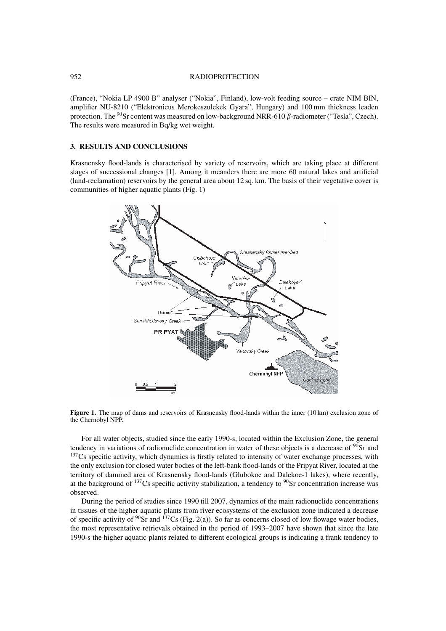### 952 RADIOPROTECTION

(France), "Nokia LP 4900 B" analyser ("Nokia", Finland), low-volt feeding source – crate NIM BIN, amplifier NU-8210 ("Elektronicus Merokeszulekek Gyara", Hungary) and 100 mm thickness leaden protection. The <sup>90</sup>Sr content was measured on low-background NRR-610  $\beta$ -radiometer ("Tesla", Czech). The results were measured in Bq/kg wet weight.

# **3. RESULTS AND CONCLUSIONS**

Krasnensky flood-lands is characterised by variety of reservoirs, which are taking place at different stages of successional changes [1]. Among it meanders there are more 60 natural lakes and artificial (land-reclamation) reservoirs by the general area about 12 sq. km. The basis of their vegetative cover is communities of higher aquatic plants (Fig. 1)



**Figure 1.** The map of dams and reservoirs of Krasnensky flood-lands within the inner (10 km) exclusion zone of the Chernobyl NPP.

For all water objects, studied since the early 1990-s, located within the Exclusion Zone, the general tendency in variations of radionuclide concentration in water of these objects is a decrease of  $90$ Sr and  $137Cs$  specific activity, which dynamics is firstly related to intensity of water exchange processes, with the only exclusion for closed water bodies of the left-bank flood-lands of the Pripyat River, located at the territory of dammed area of Krasnensky flood-lands (Glubokoe and Dalekoe-1 lakes), where recently, at the background of  $^{137}$ Cs specific activity stabilization, a tendency to  $^{90}$ Sr concentration increase was observed.

During the period of studies since 1990 till 2007, dynamics of the main radionuclide concentrations in tissues of the higher aquatic plants from river ecosystems of the exclusion zone indicated a decrease of specific activity of  $90$ Sr and  $137$ Cs (Fig. 2(a)). So far as concerns closed of low flowage water bodies, the most representative retrievals obtained in the period of 1993–2007 have shown that since the late 1990-s the higher aquatic plants related to different ecological groups is indicating a frank tendency to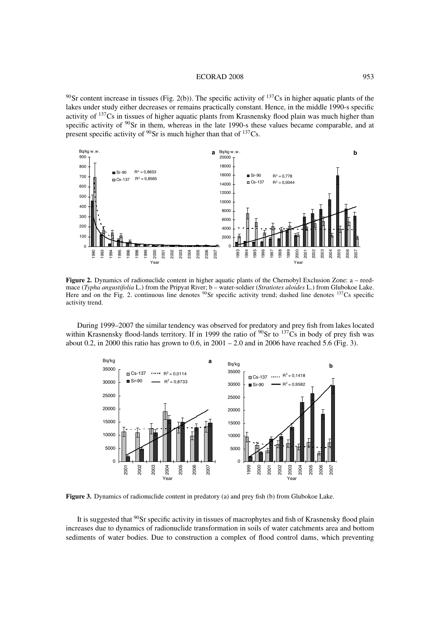### ECORAD 2008 953

<sup>90</sup>Sr content increase in tissues (Fig. 2(b)). The specific activity of <sup>137</sup>Cs in higher aquatic plants of the lakes under study either decreases or remains practically constant. Hence, in the middle 1990-s specific activity of 137Cs in tissues of higher aquatic plants from Krasnensky flood plain was much higher than specific activity of <sup>90</sup>Sr in them, whereas in the late 1990-s these values became comparable, and at present specific activity of Sr is much higher than that of  $137$ Cs.



**Figure 2.** Dynamics of radionuclide content in higher aquatic plants of the Chernobyl Exclusion Zone: a – reedmace (*Typha angustifolia* L.) from the Pripyat River; b – water-soldier (*Stratiotes aloides* L.) from Glubokoe Lake. Here and on the Fig. 2. continuous line denotes Sr specific activity trend; dashed line denotes  $137$ Cs specific activity trend.

During 1999–2007 the similar tendency was observed for predatory and prey fish from lakes located within Krasnensky flood-lands territory. If in 1999 the ratio of Sr to  $137Cs$  in body of prey fish was about 0.2, in 2000 this ratio has grown to 0.6, in  $2001 - 2.0$  and in 2006 have reached 5.6 (Fig. 3).



**Figure 3.** Dynamics of radionuclide content in predatory (a) and prey fish (b) from Glubokoe Lake.

It is suggested that <sup>90</sup>Sr specific activity in tissues of macrophytes and fish of Krasnensky flood plain increases due to dynamics of radionuclide transformation in soils of water catchments area and bottom sediments of water bodies. Due to construction a complex of flood control dams, which preventing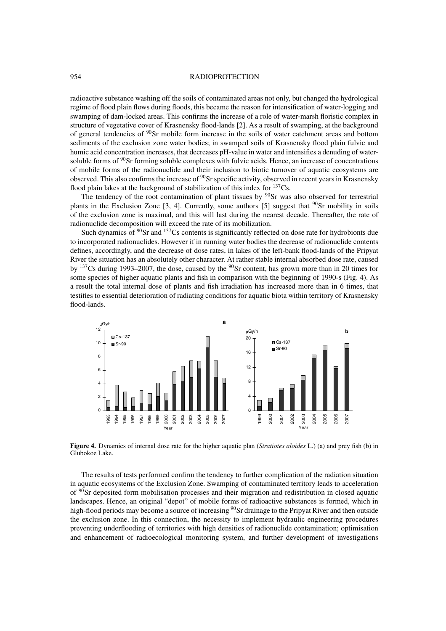#### 954 RADIOPROTECTION

radioactive substance washing off the soils of contaminated areas not only, but changed the hydrological regime of flood plain flows during floods, this became the reason for intensification of water-logging and swamping of dam-locked areas. This confirms the increase of a role of water-marsh floristic complex in structure of vegetative cover of Krasnensky flood-lands [2]. As a result of swamping, at the background of general tendencies of 90Sr mobile form increase in the soils of water catchment areas and bottom sediments of the exclusion zone water bodies; in swamped soils of Krasnensky flood plain fulvic and humic acid concentration increases, that decreases pH-value in water and intensifies a denuding of watersoluble forms of  $90Sr$  forming soluble complexes with fulvic acids. Hence, an increase of concentrations of mobile forms of the radionuclide and their inclusion to biotic turnover of aquatic ecosystems are observed. This also confirms the increase of  $90Sr$  specific activity, observed in recent years in Krasnensky flood plain lakes at the background of stabilization of this index for  $137Cs$ .

The tendency of the root contamination of plant tissues by  $90$ Sr was also observed for terrestrial plants in the Exclusion Zone  $[3, 4]$ . Currently, some authors  $[5]$  suggest that <sup>90</sup>Sr mobility in soils of the exclusion zone is maximal, and this will last during the nearest decade. Thereafter, the rate of radionuclide decomposition will exceed the rate of its mobilization.

Such dynamics of  $\frac{90}{5}$  and  $\frac{137}{5}$ Cs contents is significantly reflected on dose rate for hydrobionts due to incorporated radionuclides. However if in running water bodies the decrease of radionuclide contents defines, accordingly, and the decrease of dose rates, in lakes of the left-bank flood-lands of the Pripyat River the situation has an absolutely other character. At rather stable internal absorbed dose rate, caused by <sup>137</sup>Cs during 1993–2007, the dose, caused by the <sup>90</sup>Sr content, has grown more than in 20 times for some species of higher aquatic plants and fish in comparison with the beginning of 1990-s (Fig. 4). As a result the total internal dose of plants and fish irradiation has increased more than in 6 times, that testifies to essential deterioration of radiating conditions for aquatic biota within territory of Krasnensky flood-lands.



**Figure 4.** Dynamics of internal dose rate for the higher aquatic plan (*Stratiotes aloides* L.) (a) and prey fish (b) in Glubokoe Lake.

The results of tests performed confirm the tendency to further complication of the radiation situation in aquatic ecosystems of the Exclusion Zone. Swamping of contaminated territory leads to acceleration of 90Sr deposited form mobilisation processes and their migration and redistribution in closed aquatic landscapes. Hence, an original "depot" of mobile forms of radioactive substances is formed, which in high-flood periods may become a source of increasing <sup>90</sup>Sr drainage to the Pripyat River and then outside the exclusion zone. In this connection, the necessity to implement hydraulic engineering procedures preventing underflooding of territories with high densities of radionuclide contamination; optimisation and enhancement of radioecological monitoring system, and further development of investigations